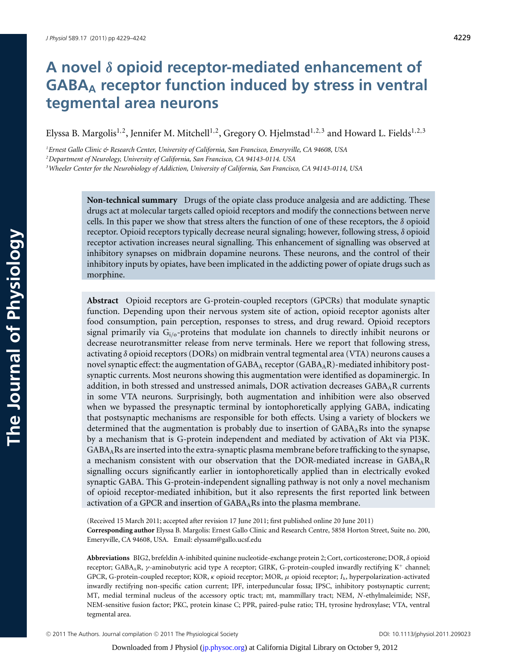# **A novel** *δ* **opioid receptor-mediated enhancement of GABAA receptor function induced by stress in ventral tegmental area neurons**

Elyssa B. Margolis<sup>1,2</sup>, Jennifer M. Mitchell<sup>1,2</sup>, Gregory O. Hjelmstad<sup>1,2,3</sup> and Howard L. Fields<sup>1,2,3</sup>

*1 Ernest Gallo Clinic & Research Center, University of California, San Francisco, Emeryville, CA 94608, USA*

*2 Department of Neurology, University of California, San Francisco, CA 94143-0114. USA*

*3 Wheeler Center for the Neurobiology of Addiction, University of California, San Francisco, CA 94143-0114, USA*

**Non-technical summary** Drugs of the opiate class produce analgesia and are addicting. These drugs act at molecular targets called opioid receptors and modify the connections between nerve cells. In this paper we show that stress alters the function of one of these receptors, the  $\delta$  opioid receptor. Opioid receptors typically decrease neural signaling; however, following stress, δ opioid receptor activation increases neural signalling. This enhancement of signalling was observed at inhibitory synapses on midbrain dopamine neurons. These neurons, and the control of their inhibitory inputs by opiates, have been implicated in the addicting power of opiate drugs such as morphine.

**Abstract** Opioid receptors are G-protein-coupled receptors (GPCRs) that modulate synaptic function. Depending upon their nervous system site of action, opioid receptor agonists alter food consumption, pain perception, responses to stress, and drug reward. Opioid receptors signal primarily via  $G_{i/\sigma}$ -proteins that modulate ion channels to directly inhibit neurons or decrease neurotransmitter release from nerve terminals. Here we report that following stress, activating δ opioid receptors (DORs) on midbrain ventral tegmental area (VTA) neurons causes a novel synaptic effect: the augmentation of GABAA receptor (GABAAR)-mediated inhibitory postsynaptic currents. Most neurons showing this augmentation were identified as dopaminergic. In addition, in both stressed and unstressed animals, DOR activation decreases  $GABA_AR$  currents in some VTA neurons. Surprisingly, both augmentation and inhibition were also observed when we bypassed the presynaptic terminal by iontophoretically applying GABA, indicating that postsynaptic mechanisms are responsible for both effects. Using a variety of blockers we determined that the augmentation is probably due to insertion of  $GABA_ARS$  into the synapse by a mechanism that is G-protein independent and mediated by activation of Akt via PI3K. GABAARs are inserted into the extra-synaptic plasma membrane before trafficking to the synapse, a mechanism consistent with our observation that the DOR-mediated increase in GABAAR signalling occurs significantly earlier in iontophoretically applied than in electrically evoked synaptic GABA. This G-protein-independent signalling pathway is not only a novel mechanism of opioid receptor-mediated inhibition, but it also represents the first reported link between activation of a GPCR and insertion of GABA<sub>A</sub>Rs into the plasma membrane.

(Received 15 March 2011; accepted after revision 17 June 2011; first published online 20 June 2011) **Corresponding author** Elyssa B. Margolis: Ernest Gallo Clinic and Research Centre, 5858 Horton Street, Suite no. 200, Emeryville, CA 94608, USA. Email: elyssam@gallo.ucsf.edu

**Abbreviations** BIG2, brefeldin A-inhibited quinine nucleotide-exchange protein 2; Cort, corticosterone; DOR, δ opioid receptor; GABAAR, γ-aminobutyric acid type A receptor; GIRK, G-protein-coupled inwardly rectifying K<sup>+</sup> channel; GPCR, G-protein-coupled receptor; KOR, κ opioid receptor; MOR, μ opioid receptor; *I* h, hyperpolarization-activated inwardly rectifying non-specific cation current; IPF, interpeduncular fossa; IPSC, inhibitory postsynaptic current; MT, medial terminal nucleus of the accessory optic tract; mt, mammillary tract; NEM, *N*-ethylmaleimide; NSF, NEM-sensitive fusion factor; PKC, protein kinase C; PPR, paired-pulse ratio; TH, tyrosine hydroxylase; VTA, ventral tegmental area.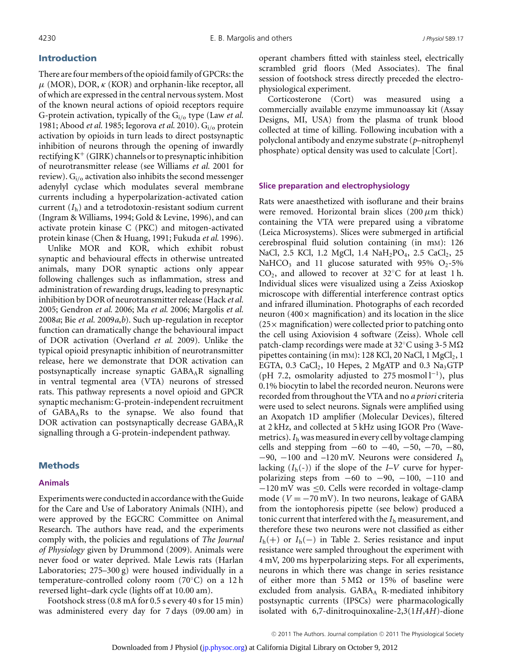## **Introduction**

There are four members of the opioid family of GPCRs: the  $\mu$  (MOR), DOR,  $\kappa$  (KOR) and orphanin-like receptor, all of which are expressed in the central nervous system. Most of the known neural actions of opioid receptors require G-protein activation, typically of the Gi/<sup>o</sup> type (Law *et al.* 1981; Abood *et al.* 1985; Iegorova *et al.* 2010). Gi/<sup>o</sup> protein activation by opioids in turn leads to direct postsynaptic inhibition of neurons through the opening of inwardly rectifying  $K^+$  (GIRK) channels or to presynaptic inhibition of neurotransmitter release (see Williams *et al.* 2001 for review).  $G_i$  activation also inhibits the second messenger adenylyl cyclase which modulates several membrane currents including a hyperpolarization-activated cation current (*I*h) and a tetrodotoxin-resistant sodium current (Ingram & Williams, 1994; Gold & Levine, 1996), and can activate protein kinase C (PKC) and mitogen-activated protein kinase (Chen & Huang, 1991; Fukuda *et al.* 1996).

Unlike MOR and KOR, which exhibit robust synaptic and behavioural effects in otherwise untreated animals, many DOR synaptic actions only appear following challenges such as inflammation, stress and administration of rewarding drugs, leading to presynaptic inhibition by DOR of neurotransmitter release (Hack *et al.* 2005; Gendron *et al.* 2006; Ma *et al.* 2006; Margolis *et al.* 2008*a*; Bie *et al.* 2009*a*,*b*). Such up-regulation in receptor function can dramatically change the behavioural impact of DOR activation (Overland *et al.* 2009). Unlike the typical opioid presynaptic inhibition of neurotransmitter release, here we demonstrate that DOR activation can postsynaptically increase synaptic  $GABA_AR$  signalling in ventral tegmental area (VTA) neurons of stressed rats. This pathway represents a novel opioid and GPCR synaptic mechanism: G-protein-independent recruitment of GABAARs to the synapse. We also found that DOR activation can postsynaptically decrease GABA<sub>A</sub>R signalling through a G-protein-independent pathway.

## **Methods**

#### **Animals**

Experiments were conducted in accordance with the Guide for the Care and Use of Laboratory Animals (NIH), and were approved by the EGCRC Committee on Animal Research. The authors have read, and the experiments comply with, the policies and regulations of *The Journal of Physiology* given by Drummond (2009). Animals were never food or water deprived. Male Lewis rats (Harlan Laboratories; 275–300 g) were housed individually in a temperature-controlled colony room (70◦C) on a 12 h reversed light–dark cycle (lights off at 10.00 am).

Footshock stress (0.8 mA for 0.5 s every 40 s for 15 min) was administered every day for 7 days (09.00 am) in operant chambers fitted with stainless steel, electrically scrambled grid floors (Med Associates). The final session of footshock stress directly preceded the electrophysiological experiment.

Corticosterone (Cort) was measured using a commercially available enzyme immunoassay kit (Assay Designs, MI, USA) from the plasma of trunk blood collected at time of killing. Following incubation with a polyclonal antibody and enzyme substrate (*p*–nitrophenyl phosphate) optical density was used to calculate [Cort].

#### **Slice preparation and electrophysiology**

Rats were anaesthetized with isoflurane and their brains were removed. Horizontal brain slices (200  $\mu$ m thick) containing the VTA were prepared using a vibratome (Leica Microsystems). Slices were submerged in artificial cerebrospinal fluid solution containing (in mM): 126 NaCl, 2.5 KCl, 1.2 MgCl, 1.4 NaH<sub>2</sub>PO<sub>4</sub>, 2.5 CaCl<sub>2</sub>, 25 NaHCO<sub>3</sub> and 11 glucose saturated with 95% O<sub>2</sub>-5% CO2, and allowed to recover at 32◦C for at least 1 h. Individual slices were visualized using a Zeiss Axioskop microscope with differential interference contrast optics and infrared illumination. Photographs of each recorded neuron (400 $\times$  magnification) and its location in the slice  $(25\times$  magnification) were collected prior to patching onto the cell using Axiovision 4 software (Zeiss). Whole cell patch-clamp recordings were made at 32 $\mathrm{^{\circ}C}$  using 3-5 M $\Omega$ pipettes containing (in mM): 128 KCl, 20 NaCl, 1 MgCl<sub>2</sub>, 1 EGTA, 0.3 CaCl<sub>2</sub>, 10 Hepes, 2 MgATP and 0.3 Na<sub>3</sub>GTP (pH 7.2, osmolarity adjusted to 275 mosmol  $l^{-1}$ ), plus 0.1% biocytin to label the recorded neuron. Neurons were recorded from throughout the VTA and no *a priori* criteria were used to select neurons. Signals were amplified using an Axopatch 1D amplifier (Molecular Devices), filtered at 2 kHz, and collected at 5 kHz using IGOR Pro (Wavemetrics).*I*<sup>h</sup> was measured in every cell by voltage clamping cells and stepping from  $-60$  to  $-40$ ,  $-50$ ,  $-70$ ,  $-80$ , −90, −100 and –120 mV. Neurons were considered *I*<sup>h</sup> lacking  $(I_h(-))$  if the slope of the *I–V* curve for hyperpolarizing steps from −60 to −90, −100, −110 and −120 mV was ≤0. Cells were recorded in voltage-clamp mode ( $V = -70$  mV). In two neurons, leakage of GABA from the iontophoresis pipette (see below) produced a tonic current that interfered with the *I*<sup>h</sup> measurement, and therefore these two neurons were not classified as either  $I<sub>h</sub>(+)$  or  $I<sub>h</sub>(-)$  in Table 2. Series resistance and input resistance were sampled throughout the experiment with 4 mV, 200 ms hyperpolarizing steps. For all experiments, neurons in which there was change in series resistance of either more than  $5 M\Omega$  or 15% of baseline were excluded from analysis.  $GABA<sub>A</sub>$  R-mediated inhibitory postsynaptic currents (IPSCs) were pharmacologically isolated with 6,7-dinitroquinoxaline-2,3(1*H*,4*H*)-dione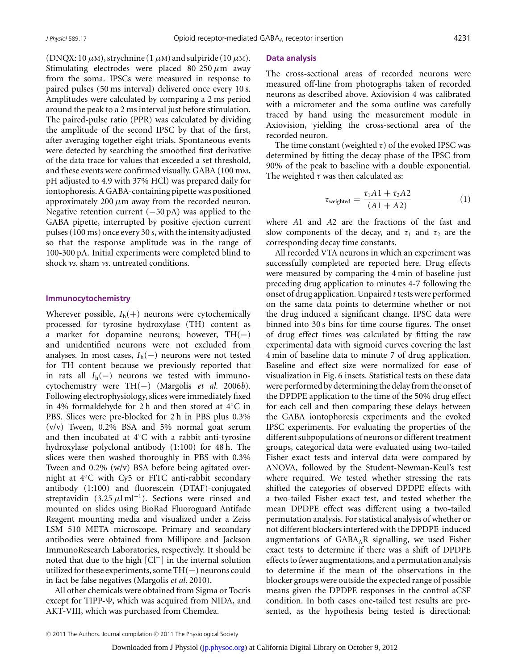(DNQX: 10  $\mu$ m), strychnine (1  $\mu$ m) and sulpiride (10  $\mu$ m). Stimulating electrodes were placed  $80-250 \mu m$  away from the soma. IPSCs were measured in response to paired pulses (50 ms interval) delivered once every 10 s. Amplitudes were calculated by comparing a 2 ms period around the peak to a 2 ms interval just before stimulation. The paired-pulse ratio (PPR) was calculated by dividing the amplitude of the second IPSC by that of the first, after averaging together eight trials. Spontaneous events were detected by searching the smoothed first derivative of the data trace for values that exceeded a set threshold, and these events were confirmed visually. GABA (100 mM, pH adjusted to 4.9 with 37% HCl) was prepared daily for iontophoresis. A GABA-containing pipette was positioned approximately 200  $\mu$ m away from the recorded neuron. Negative retention current  $(-50 \text{ pA})$  was applied to the GABA pipette, interrupted by positive ejection current pulses (100 ms) once every 30 s, with the intensity adjusted so that the response amplitude was in the range of 100-300 pA. Initial experiments were completed blind to shock *vs*. sham *vs*. untreated conditions.

#### **Immunocytochemistry**

Wherever possible,  $I_h(+)$  neurons were cytochemically processed for tyrosine hydroxylase (TH) content as a marker for dopamine neurons; however, TH(−) and unidentified neurons were not excluded from analyses. In most cases, *I*h(−) neurons were not tested for TH content because we previously reported that in rats all  $I_h(-)$  neurons we tested with immunocytochemistry were TH(−) (Margolis *et al.* 2006*b*). Following electrophysiology, slices were immediately fixed in 4% formaldehyde for 2 h and then stored at 4◦C in PBS. Slices were pre-blocked for 2 h in PBS plus 0.3% (v/v) Tween, 0.2% BSA and 5% normal goat serum and then incubated at 4◦C with a rabbit anti-tyrosine hydroxylase polyclonal antibody (1:100) for 48 h. The slices were then washed thoroughly in PBS with 0.3% Tween and 0.2% (w/v) BSA before being agitated overnight at 4◦C with Cy5 or FITC anti-rabbit secondary antibody (1:100) and fluorescein (DTAF)-conjugated streptavidin (3.25  $\mu$ l ml<sup>-1</sup>). Sections were rinsed and mounted on slides using BioRad Fluoroguard Antifade Reagent mounting media and visualized under a Zeiss LSM 510 META microscope. Primary and secondary antibodies were obtained from Millipore and Jackson ImmunoResearch Laboratories, respectively. It should be noted that due to the high [Cl−] in the internal solution utilized for these experiments, some  $TH(-)$  neurons could in fact be false negatives (Margolis *et al.* 2010).

All other chemicals were obtained from Sigma or Tocris except for TIPP- $\Psi$ , which was acquired from NIDA, and AKT-VIII, which was purchased from Chemdea.

#### **Data analysis**

The cross-sectional areas of recorded neurons were measured off-line from photographs taken of recorded neurons as described above. Axiovision 4 was calibrated with a micrometer and the soma outline was carefully traced by hand using the measurement module in Axiovision, yielding the cross-sectional area of the recorded neuron.

The time constant (weighted  $\tau$ ) of the evoked IPSC was determined by fitting the decay phase of the IPSC from 90% of the peak to baseline with a double exponential. The weighted  $\tau$  was then calculated as:

$$
\tau_{\text{weighted}} = \frac{\tau_1 A 1 + \tau_2 A 2}{(A 1 + A 2)} \tag{1}
$$

where *A*1 and *A*2 are the fractions of the fast and slow components of the decay, and  $\tau_1$  and  $\tau_2$  are the corresponding decay time constants.

All recorded VTA neurons in which an experiment was successfully completed are reported here. Drug effects were measured by comparing the 4 min of baseline just preceding drug application to minutes 4-7 following the onset of drug application. Unpaired *t* tests were performed on the same data points to determine whether or not the drug induced a significant change. IPSC data were binned into 30 s bins for time course figures. The onset of drug effect times was calculated by fitting the raw experimental data with sigmoid curves covering the last 4 min of baseline data to minute 7 of drug application. Baseline and effect size were normalized for ease of visualization in Fig. 6 insets. Statistical tests on these data were performed by determining the delay from the onset of the DPDPE application to the time of the 50% drug effect for each cell and then comparing these delays between the GABA iontophoresis experiments and the evoked IPSC experiments. For evaluating the properties of the different subpopulations of neurons or different treatment groups, categorical data were evaluated using two-tailed Fisher exact tests and interval data were compared by ANOVA, followed by the Student-Newman-Keul's test where required. We tested whether stressing the rats shifted the categories of observed DPDPE effects with a two-tailed Fisher exact test, and tested whether the mean DPDPE effect was different using a two-tailed permutation analysis. For statistical analysis of whether or not different blockers interfered with the DPDPE-induced augmentations of  $GABA<sub>A</sub>R$  signalling, we used Fisher exact tests to determine if there was a shift of DPDPE effects to fewer augmentations, and a permutation analysis to determine if the mean of the observations in the blocker groups were outside the expected range of possible means given the DPDPE responses in the control aCSF condition. In both cases one-tailed test results are presented, as the hypothesis being tested is directional: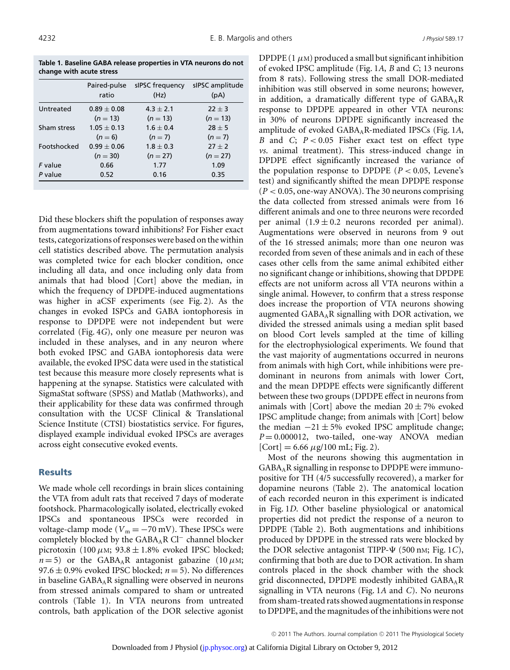**Table 1. Baseline GABA release properties in VTA neurons do not change with acute stress**

|                    | Paired-pulse<br>ratio | sIPSC frequency<br>(Hz) | sIPSC amplitude<br>(pA) |
|--------------------|-----------------------|-------------------------|-------------------------|
| Untreated          | $0.89 + 0.08$         | $4.3 + 2.1$             | $22 + 3$                |
|                    | $(n = 13)$            | $(n = 13)$              | $(n = 13)$              |
| Sham stress        | $1.05 + 0.13$         | $1.6 + 0.4$             | $28 + 5$                |
|                    | $(n=6)$               | $(n=7)$                 | $(n=7)$                 |
| <b>Footshocked</b> | $0.99 + 0.06$         | $1.8 + 0.3$             | $27 + 2$                |
|                    | $(n = 30)$            | $(n = 27)$              | $(n = 27)$              |
| F value            | 0.66                  | 1.77                    | 1.09                    |
| P value            | 0.52                  | 0.16                    | 0.35                    |
|                    |                       |                         |                         |

Did these blockers shift the population of responses away from augmentations toward inhibitions? For Fisher exact tests, categorizations of responses were based on the within cell statistics described above. The permutation analysis was completed twice for each blocker condition, once including all data, and once including only data from animals that had blood [Cort] above the median, in which the frequency of DPDPE-induced augmentations was higher in aCSF experiments (see Fig. 2). As the changes in evoked ISPCs and GABA iontophoresis in response to DPDPE were not independent but were correlated (Fig. 4*G*), only one measure per neuron was included in these analyses, and in any neuron where both evoked IPSC and GABA iontophoresis data were available, the evoked IPSC data were used in the statistical test because this measure more closely represents what is happening at the synapse. Statistics were calculated with SigmaStat software (SPSS) and Matlab (Mathworks), and their applicability for these data was confirmed through consultation with the UCSF Clinical & Translational Science Institute (CTSI) biostatistics service. For figures, displayed example individual evoked IPSCs are averages across eight consecutive evoked events.

### **Results**

We made whole cell recordings in brain slices containing the VTA from adult rats that received 7 days of moderate footshock. Pharmacologically isolated, electrically evoked IPSCs and spontaneous IPSCs were recorded in voltage-clamp mode ( $V_m = -70$  mV). These IPSCs were completely blocked by the GABA<sub>A</sub>R Cl<sup>−</sup> channel blocker picrotoxin (100  $\mu$ M; 93.8  $\pm$  1.8% evoked IPSC blocked;  $n = 5$ ) or the GABA<sub>A</sub>R antagonist gabazine (10  $\mu$ M; 97.6  $\pm$  0.9% evoked IPSC blocked;  $n = 5$ ). No differences in baseline  $GABA_AR$  signalling were observed in neurons from stressed animals compared to sham or untreated controls (Table 1). In VTA neurons from untreated controls, bath application of the DOR selective agonist DPDPE  $(1 \mu M)$  produced a small but significant inhibition of evoked IPSC amplitude (Fig. 1*A*, *B* and *C*; 13 neurons from 8 rats). Following stress the small DOR-mediated inhibition was still observed in some neurons; however, in addition, a dramatically different type of  $GABA_AR$ response to DPDPE appeared in other VTA neurons: in 30% of neurons DPDPE significantly increased the amplitude of evoked GABAAR-mediated IPSCs (Fig. 1*A*, *B* and *C*; *P* < 0.05 Fisher exact test on effect type *vs*. animal treatment). This stress-induced change in DPDPE effect significantly increased the variance of the population response to DPDPE ( $P < 0.05$ , Levene's test) and significantly shifted the mean DPDPE response  $(P < 0.05$ , one-way ANOVA). The 30 neurons comprising the data collected from stressed animals were from 16 different animals and one to three neurons were recorded per animal  $(1.9 \pm 0.2$  neurons recorded per animal). Augmentations were observed in neurons from 9 out of the 16 stressed animals; more than one neuron was recorded from seven of these animals and in each of these cases other cells from the same animal exhibited either no significant change or inhibitions, showing that DPDPE effects are not uniform across all VTA neurons within a single animal. However, to confirm that a stress response does increase the proportion of VTA neurons showing augmented GABAAR signalling with DOR activation, we divided the stressed animals using a median split based on blood Cort levels sampled at the time of killing for the electrophysiological experiments. We found that the vast majority of augmentations occurred in neurons from animals with high Cort, while inhibitions were predominant in neurons from animals with lower Cort, and the mean DPDPE effects were significantly different between these two groups (DPDPE effect in neurons from animals with [Cort] above the median  $20 \pm 7\%$  evoked IPSC amplitude change; from animals with [Cort] below the median  $-21 \pm 5$ % evoked IPSC amplitude change; *P* = 0.000012, two-tailed, one-way ANOVA median  $[Cort] = 6.66 \mu g/100 \text{ mL}$ ; Fig. 2).

Most of the neurons showing this augmentation in GABAAR signalling in response to DPDPE were immunopositive for TH (4/5 successfully recovered), a marker for dopamine neurons (Table 2). The anatomical location of each recorded neuron in this experiment is indicated in Fig. 1*D*. Other baseline physiological or anatomical properties did not predict the response of a neuron to DPDPE (Table 2). Both augmentations and inhibitions produced by DPDPE in the stressed rats were blocked by the DOR selective antagonist TIPP- $\Psi$  (500 nm; Fig. 1*C*), confirming that both are due to DOR activation. In sham controls placed in the shock chamber with the shock grid disconnected, DPDPE modestly inhibited GABAAR signalling in VTA neurons (Fig. 1*A* and *C*). No neurons from sham-treated rats showed augmentations in response to DPDPE, and the magnitudes of the inhibitions were not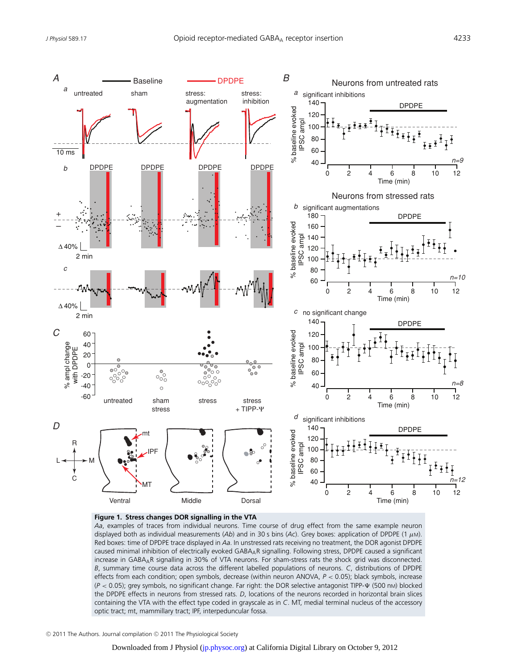

#### **Figure 1. Stress changes DOR signalling in the VTA**

*Aa*, examples of traces from individual neurons. Time course of drug effect from the same example neuron displayed both as individual measurements (Ab) and in 30 s bins (Ac). Grey boxes: application of DPDPE (1 μM). Red boxes: time of DPDPE trace displayed in *Aa*. In unstressed rats receiving no treatment, the DOR agonist DPDPE caused minimal inhibition of electrically evoked GABAAR signalling. Following stress, DPDPE caused a significant increase in GABAAR signalling in 30% of VTA neurons. For sham-stress rats the shock grid was disconnected. *B*, summary time course data across the different labelled populations of neurons. *C*, distributions of DPDPE effects from each condition; open symbols, decrease (within neuron ANOVA, *P* < 0.05); black symbols, increase (*P <* 0.05); grey symbols, no significant change. Far right: the DOR selective antagonist TIPP- $\Psi$  (500 nm) blocked the DPDPE effects in neurons from stressed rats. *D*, locations of the neurons recorded in horizontal brain slices containing the VTA with the effect type coded in grayscale as in *C*. MT, medial terminal nucleus of the accessory optic tract; mt, mammillary tract; IPF, interpeduncular fossa.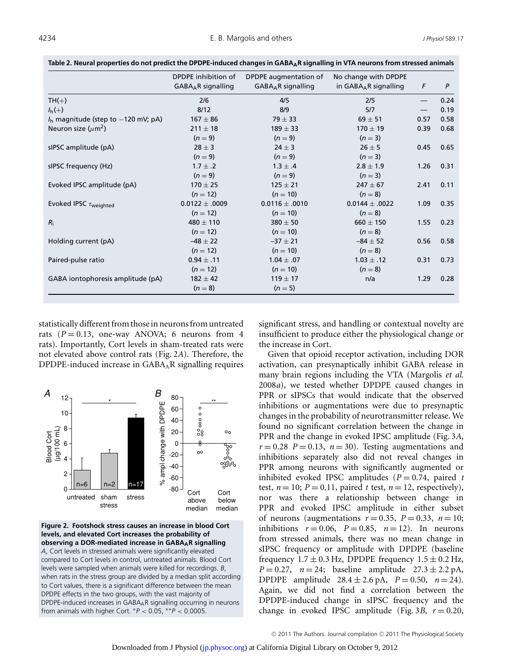|                                        | DPDPE inhibition of<br>$GABAAR$ signalling | DPDPE augmentation of<br>$GABAAR$ signalling | No change with DPDPE<br>in $GABAAR$ signalling | F                               | P    |
|----------------------------------------|--------------------------------------------|----------------------------------------------|------------------------------------------------|---------------------------------|------|
| $TH(+)$                                | 2/6                                        | 4/5                                          | 2/5                                            | $\hspace{0.1mm}-\hspace{0.1mm}$ | 0.24 |
| $I_h(+)$                               | 8/12                                       | 8/9                                          | 5/7                                            | $\hspace{0.05cm}$               | 0.19 |
| $Ih$ magnitude (step to $-120$ mV; pA) | $167 \pm 86$                               | $79 \pm 33$                                  | $69 \pm 51$                                    | 0.57                            | 0.58 |
| Neuron size ( $\mu$ m <sup>2</sup> )   | $211 \pm 18$                               | $189 \pm 33$                                 | $170 \pm 19$                                   | 0.39                            | 0.68 |
|                                        | $(n=9)$                                    | $(n=9)$                                      | $(n=3)$                                        |                                 |      |
| sIPSC amplitude (pA)                   | $28 \pm 3$                                 | $24 \pm 3$                                   | $26 \pm 5$                                     | 0.45                            | 0.65 |
|                                        | $(n=9)$                                    | $(n=9)$                                      | $(n=3)$                                        |                                 |      |
| sIPSC frequency (Hz)                   | $1.7 \pm .2$                               | $1.3 \pm .4$                                 | $2.8 \pm 1.9$                                  | 1.26                            | 0.31 |
|                                        | $(n=9)$                                    | $(n=9)$                                      | $(n=3)$                                        |                                 |      |
| Evoked IPSC amplitude (pA)             | $170 \pm 25$                               | $125 \pm 21$                                 | $247 \pm 67$                                   | 2.41                            | 0.11 |
|                                        | $(n = 12)$                                 | $(n = 10)$                                   | $(n = 8)$                                      |                                 |      |
| Evoked IPSC $\tau_{weighted}$          | $0.0122 \pm .0009$                         | $0.0116 \pm .0010$                           | $0.0144 \pm .0022$                             | 1.09                            | 0.35 |
|                                        | $(n = 12)$                                 | $(n = 10)$                                   | $(n = 8)$                                      |                                 |      |
| $R_i$                                  | $480 \pm 110$                              | $380 \pm 50$                                 | $660 \pm 150$                                  | 1.55                            | 0.23 |
|                                        | $(n = 12)$                                 | $(n = 10)$                                   | $(n = 8)$                                      |                                 |      |
| Holding current (pA)                   | $-48 \pm 22$                               | $-37 \pm 21$                                 | $-84 \pm 52$                                   | 0.56                            | 0.58 |
|                                        | $(n = 12)$                                 | $(n = 10)$                                   | $(n=8)$                                        |                                 |      |
| Paired-pulse ratio                     | $0.94 \pm .11$                             | $1.04 \pm .07$                               | $1.03 \pm .12$                                 | 0.31                            | 0.73 |
|                                        | $(n = 12)$                                 | $(n = 10)$                                   | $(n = 8)$                                      |                                 |      |
| GABA iontophoresis amplitude (pA)      | $182 \pm 42$                               | $119 \pm 17$                                 | n/a                                            | 1.29                            | 0.28 |
|                                        | $(n = 8)$                                  | $(n=5)$                                      |                                                |                                 |      |

**Table 2. Neural properties do not predict the DPDPE-induced changes in GABAAR signalling in VTA neurons from stressed animals**

statistically different from those in neurons from untreated rats  $(P = 0.13$ , one-way ANOVA; 6 neurons from 4 rats). Importantly, Cort levels in sham-treated rats were not elevated above control rats (Fig. 2*A*). Therefore, the DPDPE-induced increase in GABAAR signalling requires



**Figure 2. Footshock stress causes an increase in blood Cort levels, and elevated Cort increases the probability of observing a DOR-mediated increase in GABAAR signalling** *A*, Cort levels in stressed animals were significantly elevated compared to Cort levels in control, untreated animals. Blood Cort levels were sampled when animals were killed for recordings. *B*, when rats in the stress group are divided by a median split according to Cort values, there is a significant difference between the mean DPDPE effects in the two groups, with the vast majority of DPDPE-induced increases in GABAAR signalling occurring in neurons from animals with higher Cort. ∗*P* < 0.05, ∗∗*P* < 0.0005.

significant stress, and handling or contextual novelty are insufficient to produce either the physiological change or the increase in Cort.

Given that opioid receptor activation, including DOR activation, can presynaptically inhibit GABA release in many brain regions including the VTA (Margolis *et al.* 2008*a*), we tested whether DPDPE caused changes in PPR or sIPSCs that would indicate that the observed inhibitions or augmentations were due to presynaptic changes in the probability of neurotransmitter release. We found no significant correlation between the change in PPR and the change in evoked IPSC amplitude (Fig. 3*A*,  $r = 0.28$  *P* = 0.13, *n* = 30). Testing augmentations and inhibitions separately also did not reveal changes in PPR among neurons with significantly augmented or inhibited evoked IPSC amplitudes  $(P = 0.74$ , paired *t* test,  $n = 10$ ;  $P = 0.11$ , paired *t* test,  $n = 12$ , respectively), nor was there a relationship between change in PPR and evoked IPSC amplitude in either subset of neurons (augmentations  $r = 0.35$ ,  $P = 0.33$ ,  $n = 10$ ; inhibitions  $r = 0.06$ ,  $P = 0.85$ ,  $n = 12$ ). In neurons from stressed animals, there was no mean change in sIPSC frequency or amplitude with DPDPE (baseline frequency  $1.7 \pm 0.3$  Hz, DPDPE frequency  $1.5 \pm 0.2$  Hz, *P* = 0.27, *n* = 24; baseline amplitude  $27.3 \pm 2.2$  pA, DPDPE amplitude  $28.4 \pm 2.6 \text{ pA}$ ,  $P = 0.50$ ,  $n = 24$ ). Again, we did not find a correlation between the DPDPE-induced change in sIPSC frequency and the change in evoked IPSC amplitude (Fig. 3*B*,  $r = 0.20$ ,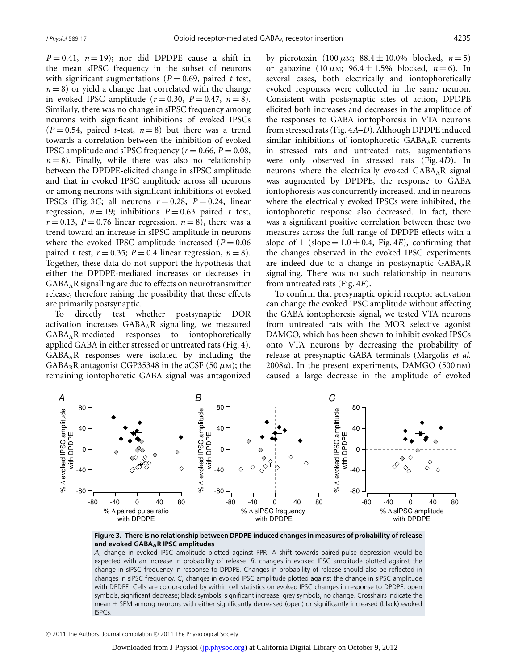$P = 0.41$ ,  $n = 19$ ; nor did DPDPE cause a shift in the mean sIPSC frequency in the subset of neurons with significant augmentations ( $P = 0.69$ , paired *t* test,  $n = 8$ ) or yield a change that correlated with the change in evoked IPSC amplitude  $(r=0.30, P=0.47, n=8)$ . Similarly, there was no change in sIPSC frequency among neurons with significant inhibitions of evoked IPSCs  $(P = 0.54$ , paired *t*-test,  $n = 8$ ) but there was a trend towards a correlation between the inhibition of evoked IPSC amplitude and sIPSC frequency ( $r = 0.66$ ,  $P = 0.08$ ,  $n = 8$ ). Finally, while there was also no relationship between the DPDPE-elicited change in sIPSC amplitude and that in evoked IPSC amplitude across all neurons or among neurons with significant inhibitions of evoked IPSCs (Fig. 3*C*; all neurons  $r = 0.28$ ,  $P = 0.24$ , linear regression,  $n = 19$ ; inhibitions  $P = 0.63$  paired t test,  $r = 0.13$ ,  $P = 0.76$  linear regression,  $n = 8$ ), there was a trend toward an increase in sIPSC amplitude in neurons where the evoked IPSC amplitude increased  $(P = 0.06$ paired *t* test,  $r = 0.35$ ;  $P = 0.4$  linear regression,  $n = 8$ ). Together, these data do not support the hypothesis that either the DPDPE-mediated increases or decreases in GABAAR signalling are due to effects on neurotransmitter release, therefore raising the possibility that these effects are primarily postsynaptic.

To directly test whether postsynaptic DOR activation increases GABAAR signalling, we measured GABAAR-mediated responses to iontophoretically applied GABA in either stressed or untreated rats (Fig. 4). GABAAR responses were isolated by including the  $GABA_BR$  antagonist CGP35348 in the aCSF (50  $\mu$ M); the remaining iontophoretic GABA signal was antagonized

by picrotoxin (100  $\mu$ M; 88.4  $\pm$  10.0% blocked,  $n = 5$ ) or gabazine (10  $\mu$ M; 96.4  $\pm$  1.5% blocked, *n* = 6). In several cases, both electrically and iontophoretically evoked responses were collected in the same neuron. Consistent with postsynaptic sites of action, DPDPE elicited both increases and decreases in the amplitude of the responses to GABA iontophoresis in VTA neurons from stressed rats (Fig. 4*A*–*D*). Although DPDPE induced similar inhibitions of iontophoretic  $GABA_A R$  currents in stressed rats and untreated rats, augmentations were only observed in stressed rats (Fig. 4*D*). In neurons where the electrically evoked  $GABA_AR$  signal was augmented by DPDPE, the response to GABA iontophoresis was concurrently increased, and in neurons where the electrically evoked IPSCs were inhibited, the iontophoretic response also decreased. In fact, there was a significant positive correlation between these two measures across the full range of DPDPE effects with a slope of 1 (slope =  $1.0 \pm 0.4$ , Fig. 4*E*), confirming that the changes observed in the evoked IPSC experiments are indeed due to a change in postsynaptic  $GABA_AR$ signalling. There was no such relationship in neurons from untreated rats (Fig. 4*F*).

To confirm that presynaptic opioid receptor activation can change the evoked IPSC amplitude without affecting the GABA iontophoresis signal, we tested VTA neurons from untreated rats with the MOR selective agonist DAMGO, which has been shown to inhibit evoked IPSCs onto VTA neurons by decreasing the probability of release at presynaptic GABA terminals (Margolis *et al.* 2008*a*). In the present experiments, DAMGO (500 nM) caused a large decrease in the amplitude of evoked



**Figure 3. There is no relationship between DPDPE-induced changes in measures of probability of release and evoked GABAAR IPSC amplitudes**

*A*, change in evoked IPSC amplitude plotted against PPR. A shift towards paired-pulse depression would be expected with an increase in probability of release. *B*, changes in evoked IPSC amplitude plotted against the change in sIPSC frequency in response to DPDPE. Changes in probability of release should also be reflected in changes in sIPSC frequency. *C*, changes in evoked IPSC amplitude plotted against the change in sIPSC amplitude with DPDPE. Cells are colour-coded by within cell statistics on evoked IPSC changes in response to DPDPE: open symbols, significant decrease; black symbols, significant increase; grey symbols, no change. Crosshairs indicate the mean ± SEM among neurons with either significantly decreased (open) or significantly increased (black) evoked ISPCs.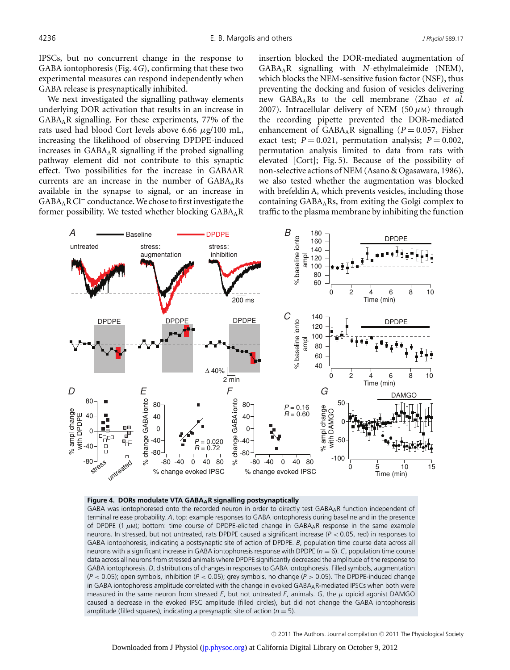IPSCs, but no concurrent change in the response to GABA iontophoresis (Fig. 4*G*), confirming that these two experimental measures can respond independently when GABA release is presynaptically inhibited.

We next investigated the signalling pathway elements underlying DOR activation that results in an increase in GABAAR signalling. For these experiments, 77% of the rats used had blood Cort levels above 6.66  $\mu$ g/100 mL, increasing the likelihood of observing DPDPE-induced increases in  $GABA<sub>A</sub>R$  signalling if the probed signalling pathway element did not contribute to this synaptic effect. Two possibilities for the increase in GABAAR currents are an increase in the number of  $GABA<sub>A</sub>Rs$ available in the synapse to signal, or an increase in GABAARCl<sup>−</sup> conductance.We chose to firstinvestigate the former possibility. We tested whether blocking  $GABA_AR$  insertion blocked the DOR-mediated augmentation of GABAAR signalling with *N*-ethylmaleimide (NEM), which blocks the NEM-sensitive fusion factor (NSF), thus preventing the docking and fusion of vesicles delivering new GABAARs to the cell membrane (Zhao *et al.* 2007). Intracellular delivery of NEM (50  $\mu$ M) through the recording pipette prevented the DOR-mediated enhancement of  $GABA<sub>A</sub>R$  signalling ( $P = 0.057$ , Fisher exact test;  $P = 0.021$ , permutation analysis;  $P = 0.002$ , permutation analysis limited to data from rats with elevated [Cort]; Fig. 5). Because of the possibility of non-selective actions of NEM (Asano & Ogasawara, 1986), we also tested whether the augmentation was blocked with brefeldin A, which prevents vesicles, including those containing  $GABA<sub>A</sub>Rs$ , from exiting the Golgi complex to traffic to the plasma membrane by inhibiting the function



#### **Figure 4. DORs modulate VTA GABAAR signalling postsynaptically**

GABA was iontophoresed onto the recorded neuron in order to directly test GABAAR function independent of terminal release probability. *A*, top: example responses to GABA iontophoresis during baseline and in the presence of DPDPE (1 μM); bottom: time course of DPDPE-elicited change in GABAAR response in the same example neurons. In stressed, but not untreated, rats DPDPE caused a significant increase (*P* < 0.05, red) in responses to GABA iontophoresis, indicating a postsynaptic site of action of DPDPE. *B*, population time course data across all neurons with a significant increase in GABA iontophoresis response with DPDPE ( $n = 6$ ). *C*, population time course data across all neurons from stressed animals where DPDPE significantly decreased the amplitude of the response to GABA iontophoresis. *D*, distributions of changes in responses to GABA iontophoresis. Filled symbols, augmentation (*P* < 0.05); open symbols, inhibition (*P* < 0.05); grey symbols, no change (*P* > 0.05). The DPDPE-induced change in GABA iontophoresis amplitude correlated with the change in evoked GABAAR-mediated IPSCs when both were measured in the same neuron from stressed *E*, but not untreated *F*, animals. *G*, the μ opioid agonist DAMGO caused a decrease in the evoked IPSC amplitude (filled circles), but did not change the GABA iontophoresis amplitude (filled squares), indicating a presynaptic site of action ( $n = 5$ ).

© 2011 The Authors. Journal compilation © 2011 The Physiological Society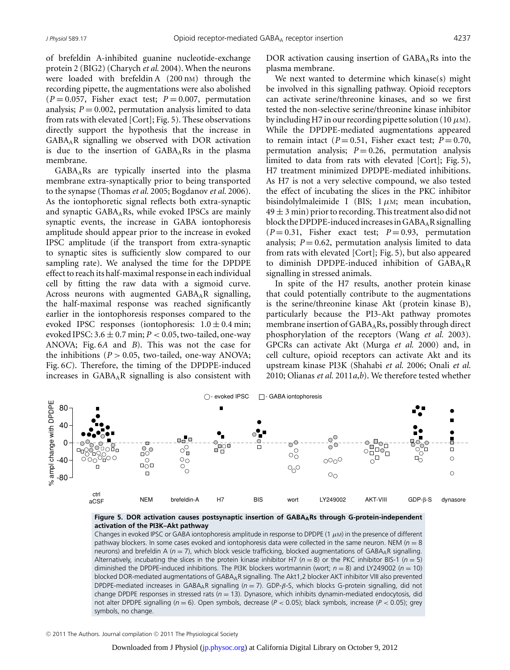of brefeldin A-inhibited guanine nucleotide-exchange protein 2 (BIG2) (Charych *et al.* 2004). When the neurons were loaded with brefeldin A (200 nM) through the recording pipette, the augmentations were also abolished  $(P = 0.057$ , Fisher exact test;  $P = 0.007$ , permutation analysis;  $P = 0.002$ , permutation analysis limited to data from rats with elevated [Cort]; Fig. 5). These observations directly support the hypothesis that the increase in  $GABA<sub>A</sub>R$  signalling we observed with DOR activation is due to the insertion of  $GABA<sub>A</sub>Rs$  in the plasma membrane.

 $GABA<sub>A</sub>Rs$  are typically inserted into the plasma membrane extra-synaptically prior to being transported to the synapse (Thomas *et al.* 2005; Bogdanov *et al.* 2006). As the iontophoretic signal reflects both extra-synaptic and synaptic GABAARs, while evoked IPSCs are mainly synaptic events, the increase in GABA iontophoresis amplitude should appear prior to the increase in evoked IPSC amplitude (if the transport from extra-synaptic to synaptic sites is sufficiently slow compared to our sampling rate). We analysed the time for the DPDPE effect to reach its half-maximal response in each individual cell by fitting the raw data with a sigmoid curve. Across neurons with augmented  $GABA<sub>A</sub>R$  signalling, the half-maximal response was reached significantly earlier in the iontophoresis responses compared to the evoked IPSC responses (iontophoresis:  $1.0 \pm 0.4$  min; evoked IPSC:  $3.6 \pm 0.7$  min;  $P < 0.05$ , two-tailed, one-way ANOVA; Fig. 6*A* and *B*). This was not the case for the inhibitions ( $P > 0.05$ , two-tailed, one-way ANOVA; Fig. 6*C*). Therefore, the timing of the DPDPE-induced increases in GABAAR signalling is also consistent with DOR activation causing insertion of  $GABA<sub>A</sub>Rs$  into the plasma membrane.

We next wanted to determine which kinase(s) might be involved in this signalling pathway. Opioid receptors can activate serine/threonine kinases, and so we first tested the non-selective serine/threonine kinase inhibitor by including H7 in our recording pipette solution (10  $\mu$ M). While the DPDPE-mediated augmentations appeared to remain intact  $(P = 0.51$ , Fisher exact test;  $P = 0.70$ , permutation analysis;  $P = 0.26$ , permutation analysis limited to data from rats with elevated [Cort]; Fig. 5), H7 treatment minimized DPDPE-mediated inhibitions. As H7 is not a very selective compound, we also tested the effect of incubating the slices in the PKC inhibitor bisindolylmaleimide I (BIS;  $1 \mu$ M; mean incubation,  $49 \pm 3$  min) prior to recording. This treatment also did not block the DPDPE-induced increases in  $GABA_AR$  signalling  $(P = 0.31$ , Fisher exact test;  $P = 0.93$ , permutation analysis;  $P = 0.62$ , permutation analysis limited to data from rats with elevated [Cort]; Fig. 5), but also appeared to diminish DPDPE-induced inhibition of  $GABA_AR$ signalling in stressed animals.

In spite of the H7 results, another protein kinase that could potentially contribute to the augmentations is the serine/threonine kinase Akt (protein kinase B), particularly because the PI3-Akt pathway promotes membrane insertion of GABA<sub>A</sub>Rs, possibly through direct phosphorylation of the receptors (Wang *et al.* 2003). GPCRs can activate Akt (Murga *et al.* 2000) and, in cell culture, opioid receptors can activate Akt and its upstream kinase PI3K (Shahabi *et al.* 2006; Onali *et al.* 2010; Olianas *et al.* 2011*a*,*b*). We therefore tested whether



Figure 5. DOR activation causes postsynaptic insertion of GABA<sub>A</sub>Rs through G-protein-independent **activation of the PI3K–Akt pathway**

Changes in evoked IPSC or GABA iontophoresis amplitude in response to DPDPE (1  $\mu$ M) in the presence of different pathway blockers. In some cases evoked and iontophoresis data were collected in the same neuron. NEM (*n* = 8 neurons) and brefeldin A ( $n = 7$ ), which block vesicle trafficking, blocked augmentations of GABA<sub>A</sub>R signalling. Alternatively, incubating the slices in the protein kinase inhibitor H7 ( $n = 8$ ) or the PKC inhibitor BIS-1 ( $n = 5$ ) diminished the DPDPE-induced inhibitions. The PI3K blockers wortmannin (wort; *n* = 8) and LY249002 (*n* = 10) blocked DOR-mediated augmentations of GABAAR signalling. The Akt1,2 blocker AKT inhibitor VIII also prevented DPDPE-mediated increases in GABAAR signalling (*n* = 7). GDP-β-S, which blocks G-protein signalling, did not change DPDPE responses in stressed rats (*n* = 13). Dynasore, which inhibits dynamin-mediated endocytosis, did not alter DPDPE signalling (*n* = 6). Open symbols, decrease (*P* < 0.05); black symbols, increase (*P* < 0.05); grey symbols, no change.

© 2011 The Authors. Journal compilation © 2011 The Physiological Society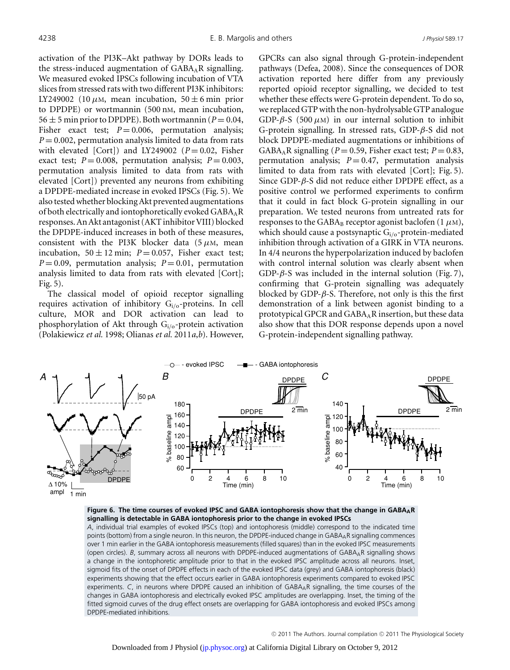activation of the PI3K–Akt pathway by DORs leads to the stress-induced augmentation of  $GABA_AR$  signalling. We measured evoked IPSCs following incubation of VTA slices from stressed rats with two different PI3K inhibitors: LY249002 (10  $\mu$ M, mean incubation, 50  $\pm$  6 min prior to DPDPE) or wortmannin (500 nM, mean incubation, 56  $\pm$  5 min prior to DPDPE). Both wortmannin ( $P = 0.04$ , Fisher exact test;  $P = 0.006$ , permutation analysis;  $P = 0.002$ , permutation analysis limited to data from rats with elevated [Cort]) and LY249002 ( $P = 0.02$ , Fisher exact test;  $P = 0.008$ , permutation analysis;  $P = 0.003$ , permutation analysis limited to data from rats with elevated [Cort]) prevented any neurons from exhibiting a DPDPE-mediated increase in evoked IPSCs (Fig. 5). We also tested whether blocking Akt prevented augmentations of both electrically and iontophoretically evoked  $GABA_AR$ responses. An Akt antagonist (AKT inhibitor VIII) blocked the DPDPE-induced increases in both of these measures, consistent with the PI3K blocker data  $(5 \mu M, \text{mean})$ incubation,  $50 \pm 12$  min;  $P = 0.057$ , Fisher exact test;  $P = 0.09$ , permutation analysis;  $P = 0.01$ , permutation analysis limited to data from rats with elevated [Cort]; Fig. 5).

The classical model of opioid receptor signalling requires activation of inhibitory  $G_i$ <sub>/0</sub>-proteins. In cell culture, MOR and DOR activation can lead to phosphorylation of Akt through Gi/o-protein activation (Polakiewicz *et al.* 1998; Olianas *et al.* 2011*a*,*b*). However, GPCRs can also signal through G-protein-independent pathways (Defea, 2008). Since the consequences of DOR activation reported here differ from any previously reported opioid receptor signalling, we decided to test whether these effects were G-protein dependent. To do so, we replaced GTP with the non-hydrolysable GTP analogue GDP- $\beta$ -S (500  $\mu$ M) in our internal solution to inhibit G-protein signalling. In stressed rats, GDP-β-S did not block DPDPE-mediated augmentations or inhibitions of GABA<sub>A</sub>R signalling ( $P = 0.59$ , Fisher exact test;  $P = 0.83$ , permutation analysis;  $P = 0.47$ , permutation analysis limited to data from rats with elevated [Cort]; Fig. 5). Since GDP- $\beta$ -S did not reduce either DPDPE effect, as a positive control we performed experiments to confirm that it could in fact block G-protein signalling in our preparation. We tested neurons from untreated rats for responses to the GABA<sub>B</sub> receptor agonist baclofen (1  $\mu$ M), which should cause a postsynaptic  $G_i/0$ -protein-mediated inhibition through activation of a GIRK in VTA neurons. In 4/4 neurons the hyperpolarization induced by baclofen with control internal solution was clearly absent when GDP- $\beta$ -S was included in the internal solution (Fig. 7), confirming that G-protein signalling was adequately blocked by GDP- $\beta$ -S. Therefore, not only is this the first demonstration of a link between agonist binding to a prototypical GPCR and GABAAR insertion, but these data also show that this DOR response depends upon a novel G-protein-independent signalling pathway.



**Figure 6. The time courses of evoked IPSC and GABA iontophoresis show that the change in GABAAR signalling is detectable in GABA iontophoresis prior to the change in evoked IPSCs**

*A*, individual trial examples of evoked IPSCs (top) and iontophoresis (middle) correspond to the indicated time points (bottom) from a single neuron. In this neuron, the DPDPE-induced change in GABAAR signalling commences over 1 min earlier in the GABA iontophoresis measurements (filled squares) than in the evoked IPSC measurements (open circles). *B*, summary across all neurons with DPDPE-induced augmentations of GABAAR signalling shows a change in the iontophoretic amplitude prior to that in the evoked IPSC amplitude across all neurons. Inset, sigmoid fits of the onset of DPDPE effects in each of the evoked IPSC data (grey) and GABA iontophoresis (black) experiments showing that the effect occurs earlier in GABA iontophoresis experiments compared to evoked IPSC experiments. *C*, in neurons where DPDPE caused an inhibition of GABA<sub>A</sub>R signalling, the time courses of the changes in GABA iontophoresis and electrically evoked IPSC amplitudes are overlapping. Inset, the timing of the fitted sigmoid curves of the drug effect onsets are overlapping for GABA iontophoresis and evoked IPSCs among DPDPE-mediated inhibitions.

© 2011 The Authors. Journal compilation © 2011 The Physiological Society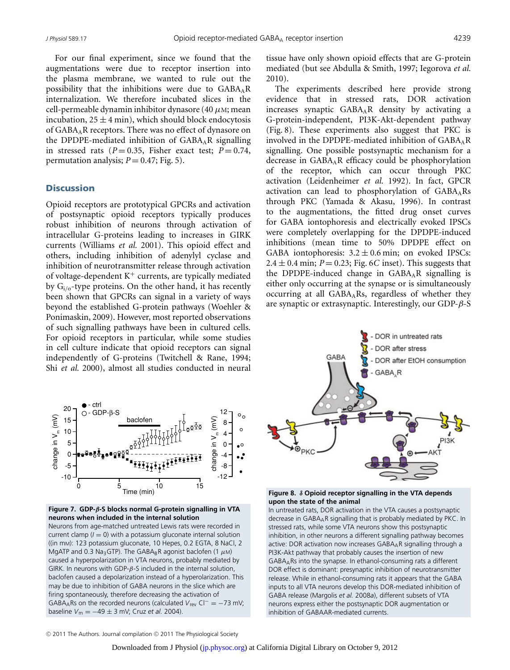For our final experiment, since we found that the augmentations were due to receptor insertion into the plasma membrane, we wanted to rule out the possibility that the inhibitions were due to GABAAR internalization. We therefore incubated slices in the cell-permeable dynamin inhibitor dynasore (40  $\mu$ M; mean incubation,  $25 \pm 4$  min), which should block endocytosis of GABA<sub>A</sub>R receptors. There was no effect of dynasore on the DPDPE-mediated inhibition of  $GABA_A R$  signalling in stressed rats  $(P = 0.35$ , Fisher exact test;  $P = 0.74$ , permutation analysis;  $P = 0.47$ ; Fig. 5).

#### **Discussion**

Opioid receptors are prototypical GPCRs and activation of postsynaptic opioid receptors typically produces robust inhibition of neurons through activation of intracellular G-proteins leading to increases in GIRK currents (Williams *et al.* 2001). This opioid effect and others, including inhibition of adenylyl cyclase and inhibition of neurotransmitter release through activation of voltage-dependent  $K^+$  currents, are typically mediated by  $G_{i/o}$ -type proteins. On the other hand, it has recently been shown that GPCRs can signal in a variety of ways beyond the established G-protein pathways (Woehler & Ponimaskin, 2009). However, most reported observations of such signalling pathways have been in cultured cells. For opioid receptors in particular, while some studies in cell culture indicate that opioid receptors can signal independently of G-proteins (Twitchell & Rane, 1994; Shi *et al.* 2000), almost all studies conducted in neural tissue have only shown opioid effects that are G-protein mediated (but see Abdulla & Smith, 1997; Iegorova *et al.* 2010).

The experiments described here provide strong evidence that in stressed rats, DOR activation increases synaptic GABAAR density by activating a G-protein-independent, PI3K-Akt-dependent pathway (Fig. 8). These experiments also suggest that PKC is involved in the DPDPE-mediated inhibition of  $GABA_A R$ signalling. One possible postsynaptic mechanism for a decrease in GABAAR efficacy could be phosphorylation of the receptor, which can occur through PKC activation (Leidenheimer *et al.* 1992). In fact, GPCR activation can lead to phosphorylation of  $GABA_ARs$ through PKC (Yamada & Akasu, 1996). In contrast to the augmentations, the fitted drug onset curves for GABA iontophoresis and electrically evoked IPSCs were completely overlapping for the DPDPE-induced inhibitions (mean time to 50% DPDPE effect on GABA iontophoresis:  $3.2 \pm 0.6$  min; on evoked IPSCs:  $2.4 \pm 0.4$  min;  $P = 0.23$ ; Fig. 6*C* inset). This suggests that the DPDPE-induced change in  $GABA_AR$  signalling is either only occurring at the synapse or is simultaneously occurring at all GABAARs, regardless of whether they are synaptic or extrasynaptic. Interestingly, our GDP-β-S



**Figure 8.** *δ* **Opioid receptor signalling in the VTA depends upon the state of the animal**

In untreated rats, DOR activation in the VTA causes a postsynaptic decrease in GABAAR signalling that is probably mediated by PKC. In stressed rats, while some VTA neurons show this postsynaptic inhibition, in other neurons a different signalling pathway becomes active: DOR activation now increases GABAAR signalling through a PI3K-Akt pathway that probably causes the insertion of new GABAARs into the synapse. In ethanol-consuming rats a different DOR effect is dominant: presynaptic inhibition of neurotransmitter release. While in ethanol-consuming rats it appears that the GABA inputs to all VTA neurons develop this DOR-mediated inhibition of GABA release (Margolis *et al.* 2008*a*), different subsets of VTA neurons express either the postsynaptic DOR augmentation or inhibition of GABAAR-mediated currents.





Neurons from age-matched untreated Lewis rats were recorded in current clamp  $(I = 0)$  with a potassium gluconate internal solution ((in mM): 123 potassium gluconate, 10 Hepes, 0.2 EGTA, 8 NaCl, 2 MgATP and 0.3 Na<sub>3</sub>GTP). The GABA<sub>B</sub>R agonist baclofen (1  $\mu$ M) caused a hyperpolarization in VTA neurons, probably mediated by GIRK. In neurons with GDP- $\beta$ -S included in the internal solution, baclofen caused a depolarization instead of a hyperolarization. This may be due to inhibition of GABA neurons in the slice which are firing spontaneously, therefore decreasing the activation of GABAARs on the recorded neurons (calculated *V*rev Cl<sup>−</sup> = −73 mV; baseline  $V_m = -49 \pm 3$  mV; Cruz *et al.* 2004).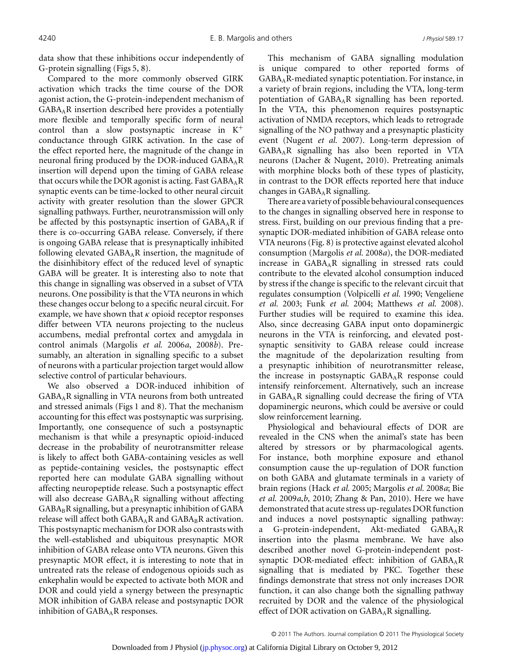data show that these inhibitions occur independently of G-protein signalling (Figs 5, 8).

Compared to the more commonly observed GIRK activation which tracks the time course of the DOR agonist action, the G-protein-independent mechanism of GABAAR insertion described here provides a potentially more flexible and temporally specific form of neural control than a slow postsynaptic increase in  $K^+$ conductance through GIRK activation. In the case of the effect reported here, the magnitude of the change in neuronal firing produced by the DOR-induced  $GABA_AR$ insertion will depend upon the timing of GABA release that occurs while the DOR agonist is acting. Fast  $GABA_AR$ synaptic events can be time-locked to other neural circuit activity with greater resolution than the slower GPCR signalling pathways. Further, neurotransmission will only be affected by this postsynaptic insertion of  $GABA_AR$  if there is co-occurring GABA release. Conversely, if there is ongoing GABA release that is presynaptically inhibited following elevated  $GABA_AR$  insertion, the magnitude of the disinhibitory effect of the reduced level of synaptic GABA will be greater. It is interesting also to note that this change in signalling was observed in a subset of VTA neurons. One possibility is that the VTA neurons in which these changes occur belong to a specific neural circuit. For example, we have shown that  $\kappa$  opioid receptor responses differ between VTA neurons projecting to the nucleus accumbens, medial prefrontal cortex and amygdala in control animals (Margolis *et al.* 2006*a*, 2008*b*). Presumably, an alteration in signalling specific to a subset of neurons with a particular projection target would allow selective control of particular behaviours.

We also observed a DOR-induced inhibition of GABAAR signalling in VTA neurons from both untreated and stressed animals (Figs 1 and 8). That the mechanism accounting for this effect was postsynaptic was surprising. Importantly, one consequence of such a postsynaptic mechanism is that while a presynaptic opioid-induced decrease in the probability of neurotransmitter release is likely to affect both GABA-containing vesicles as well as peptide-containing vesicles, the postsynaptic effect reported here can modulate GABA signalling without affecting neuropeptide release. Such a postsynaptic effect will also decrease  $GABA_AR$  signalling without affecting  $GABA_BR$  signalling, but a presynaptic inhibition of  $GABA$ release will affect both  $GABA_AR$  and  $GABA_BB$  activation. This postsynaptic mechanism for DOR also contrasts with the well-established and ubiquitous presynaptic MOR inhibition of GABA release onto VTA neurons. Given this presynaptic MOR effect, it is interesting to note that in untreated rats the release of endogenous opioids such as enkephalin would be expected to activate both MOR and DOR and could yield a synergy between the presynaptic MOR inhibition of GABA release and postsynaptic DOR inhibition of  $GABA_AR$  responses.

This mechanism of GABA signalling modulation is unique compared to other reported forms of GABAAR-mediated synaptic potentiation. For instance, in a variety of brain regions, including the VTA, long-term potentiation of GABA<sub>A</sub>R signalling has been reported. In the VTA, this phenomenon requires postsynaptic activation of NMDA receptors, which leads to retrograde signalling of the NO pathway and a presynaptic plasticity event (Nugent *et al.* 2007). Long-term depression of GABAAR signalling has also been reported in VTA neurons (Dacher & Nugent, 2010). Pretreating animals with morphine blocks both of these types of plasticity, in contrast to the DOR effects reported here that induce changes in  $GABA<sub>A</sub>R$  signalling.

There are a variety of possible behavioural consequences to the changes in signalling observed here in response to stress. First, building on our previous finding that a presynaptic DOR-mediated inhibition of GABA release onto VTA neurons (Fig. 8) is protective against elevated alcohol consumption (Margolis *et al.* 2008*a*), the DOR-mediated increase in  $GABA<sub>A</sub>R$  signalling in stressed rats could contribute to the elevated alcohol consumption induced by stress if the change is specific to the relevant circuit that regulates consumption (Volpicelli *et al.* 1990; Vengeliene *et al.* 2003; Funk *et al.* 2004; Matthews *et al.* 2008). Further studies will be required to examine this idea. Also, since decreasing GABA input onto dopaminergic neurons in the VTA is reinforcing, and elevated postsynaptic sensitivity to GABA release could increase the magnitude of the depolarization resulting from a presynaptic inhibition of neurotransmitter release, the increase in postsynaptic  $GABA<sub>A</sub>R$  response could intensify reinforcement. Alternatively, such an increase in GABAAR signalling could decrease the firing of VTA dopaminergic neurons, which could be aversive or could slow reinforcement learning.

Physiological and behavioural effects of DOR are revealed in the CNS when the animal's state has been altered by stressors or by pharmacological agents. For instance, both morphine exposure and ethanol consumption cause the up-regulation of DOR function on both GABA and glutamate terminals in a variety of brain regions (Hack *et al.* 2005; Margolis *et al.* 2008*a*; Bie *et al.* 2009*a*,*b*, 2010; Zhang & Pan, 2010). Here we have demonstrated that acute stress up-regulates DOR function and induces a novel postsynaptic signalling pathway: a G-protein-independent, Akt-mediated GABA<sub>A</sub>R insertion into the plasma membrane. We have also described another novel G-protein-independent postsynaptic DOR-mediated effect: inhibition of  $GABA_AR$ signalling that is mediated by PKC. Together these findings demonstrate that stress not only increases DOR function, it can also change both the signalling pathway recruited by DOR and the valence of the physiological effect of DOR activation on  $GABA_AR$  signalling.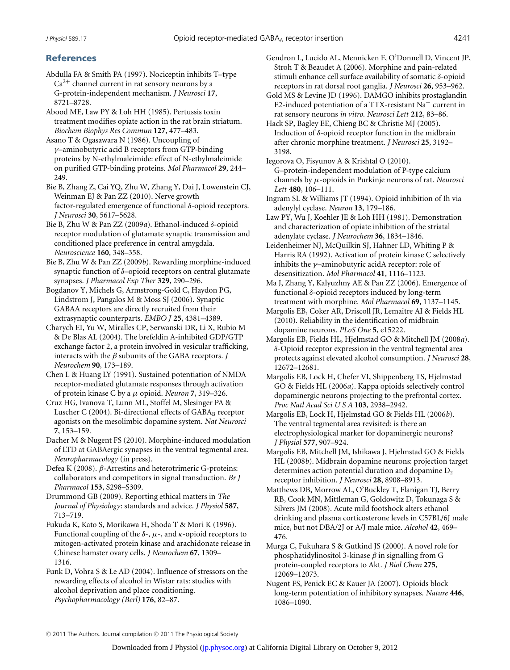## **References**

- Abdulla FA & Smith PA (1997). Nociceptin inhibits T–type  $Ca<sup>2+</sup>$  channel current in rat sensory neurons by a G-protein-independent mechanism. *J Neurosci* **17**, 8721–8728.
- Abood ME, Law PY & Loh HH (1985). Pertussis toxin treatment modifies opiate action in the rat brain striatum. *Biochem Biophys Res Commun* **127**, 477–483.
- Asano T & Ogasawara N (1986). Uncoupling of γ–aminobutyric acid B receptors from GTP-binding proteins by N-ethylmaleimide: effect of N-ethylmaleimide on purified GTP-binding proteins. *Mol Pharmacol* **29**, 244– 249.
- Bie B, Zhang Z, Cai YQ, Zhu W, Zhang Y, Dai J, Lowenstein CJ, Weinman EJ & Pan ZZ (2010). Nerve growth factor-regulated emergence of functional δ-opioid receptors. *J Neurosci* **30**, 5617–5628.
- Bie B, Zhu W & Pan ZZ (2009*a*). Ethanol-induced δ-opioid receptor modulation of glutamate synaptic transmission and conditioned place preference in central amygdala. *Neuroscience* **160**, 348–358.
- Bie B, Zhu W & Pan ZZ (2009*b*). Rewarding morphine-induced synaptic function of δ–opioid receptors on central glutamate synapses. *J Pharmacol Exp Ther* **329**, 290–296.
- Bogdanov Y, Michels G, Armstrong-Gold C, Haydon PG, Lindstrom J, Pangalos M & Moss SJ (2006). Synaptic GABAA receptors are directly recruited from their extrasynaptic counterparts. *EMBO J* **25**, 4381–4389.
- Charych EI, Yu W, Miralles CP, Serwanski DR, Li X, Rubio M & De Blas AL (2004). The brefeldin A-inhibited GDP/GTP exchange factor 2, a protein involved in vesicular trafficking, interacts with the β subunits of the GABA receptors. *J Neurochem* **90**, 173–189.
- Chen L & Huang LY (1991). Sustained potentiation of NMDA receptor-mediated glutamate responses through activation of protein kinase C by a μ opioid. *Neuron* **7**, 319–326.
- Cruz HG, Ivanova T, Lunn ML, Stoffel M, Slesinger PA & Luscher C (2004). Bi-directional effects of GABAB receptor agonists on the mesolimbic dopamine system. *Nat Neurosci* **7**, 153–159.
- Dacher M & Nugent FS (2010). Morphine-induced modulation of LTD at GABAergic synapses in the ventral tegmental area. *Neuropharmacology* (in press).
- Defea K (2008). β-Arrestins and heterotrimeric G-proteins: collaborators and competitors in signal transduction. *Br J Pharmacol* **153**, S298–S309.
- Drummond GB (2009). Reporting ethical matters in *The Journal of Physiology*: standards and advice. *J Physiol* **587**, 713–719.
- Fukuda K, Kato S, Morikawa H, Shoda T & Mori K (1996). Functional coupling of the  $\delta$ -,  $\mu$ -, and  $\kappa$ -opioid receptors to mitogen-activated protein kinase and arachidonate release in Chinese hamster ovary cells. *J Neurochem* **67**, 1309– 1316.
- Funk D, Vohra S & Le AD (2004). Influence of stressors on the rewarding effects of alcohol in Wistar rats: studies with alcohol deprivation and place conditioning. *Psychopharmacology (Berl)* **176**, 82–87.
- Gendron L, Lucido AL, Mennicken F, O'Donnell D, Vincent JP, Stroh T & Beaudet A (2006). Morphine and pain-related stimuli enhance cell surface availability of somatic δ-opioid receptors in rat dorsal root ganglia. *J Neurosci* **26**, 953–962.
- Gold MS & Levine JD (1996). DAMGO inhibits prostaglandin E2-induced potentiation of a TTX-resistant  $Na<sup>+</sup>$  current in rat sensory neurons *in vitro*. *Neurosci Lett* **212**, 83–86.
- Hack SP, Bagley EE, Chieng BC & Christie MJ (2005). Induction of δ-opioid receptor function in the midbrain after chronic morphine treatment. *J Neurosci* **25**, 3192– 3198.
- Iegorova O, Fisyunov A & Krishtal O (2010). G–protein-independent modulation of P-type calcium channels by μ-opioids in Purkinje neurons of rat. *Neurosci Lett* **480**, 106–111.
- Ingram SL & Williams JT (1994). Opioid inhibition of Ih via adenylyl cyclase. *Neuron* **13**, 179–186.
- Law PY, Wu J, Koehler JE & Loh HH (1981). Demonstration and characterization of opiate inhibition of the striatal adenylate cyclase. *J Neurochem* **36**, 1834–1846.
- Leidenheimer NJ, McQuilkin SJ, Hahner LD, Whiting P & Harris RA (1992). Activation of protein kinase C selectively inhibits the  $\gamma$ –aminobutyric acidA receptor: role of desensitization. *Mol Pharmacol* **41**, 1116–1123.
- Ma J, Zhang Y, Kalyuzhny AE & Pan ZZ (2006). Emergence of functional δ-opioid receptors induced by long-term treatment with morphine. *Mol Pharmacol* **69**, 1137–1145.
- Margolis EB, Coker AR, Driscoll JR, Lemaitre AI & Fields HL (2010). Reliability in the identification of midbrain dopamine neurons. *PLoS One* **5**, e15222.
- Margolis EB, Fields HL, Hjelmstad GO & Mitchell JM (2008*a*). δ-Opioid receptor expression in the ventral tegmental area protects against elevated alcohol consumption. *J Neurosci* **28**, 12672–12681.
- Margolis EB, Lock H, Chefer VI, Shippenberg TS, Hjelmstad GO & Fields HL (2006*a*). Kappa opioids selectively control dopaminergic neurons projecting to the prefrontal cortex. *Proc Natl Acad Sci U S A* **103**, 2938–2942.
- Margolis EB, Lock H, Hjelmstad GO & Fields HL (2006*b*). The ventral tegmental area revisited: is there an electrophysiological marker for dopaminergic neurons? *J Physiol* **577**, 907–924.
- Margolis EB, Mitchell JM, Ishikawa J, Hjelmstad GO & Fields HL (2008*b*). Midbrain dopamine neurons: projection target determines action potential duration and dopamine  $D<sub>2</sub>$ receptor inhibition. *J Neurosci* **28**, 8908–8913.
- Matthews DB, Morrow AL, O'Buckley T, Flanigan TJ, Berry RB, Cook MN, Mittleman G, Goldowitz D, Tokunaga S & Silvers JM (2008). Acute mild footshock alters ethanol drinking and plasma corticosterone levels in C57BL/6J male mice, but not DBA/2J or A/J male mice. *Alcohol* **42**, 469– 476.
- Murga C, Fukuhara S & Gutkind JS (2000). A novel role for phosphatidylinositol 3-kinase  $\beta$  in signalling from G protein-coupled receptors to Akt. *J Biol Chem* **275**, 12069–12073.
- Nugent FS, Penick EC & Kauer JA (2007). Opioids block long-term potentiation of inhibitory synapses. *Nature* **446**, 1086–1090.